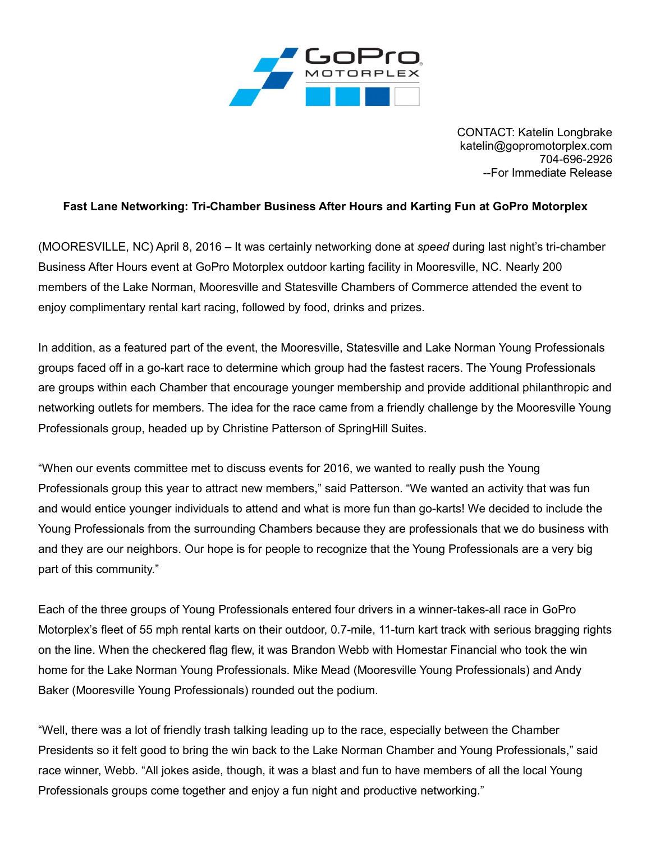

CONTACT: Katelin Longbrake katelin@gopromotorplex.com 704-696-2926 --For Immediate Release

## **Fast Lane Networking: Tri-Chamber Business After Hours and Karting Fun at GoPro Motorplex**

(MOORESVILLE, NC) April 8, 2016 – It was certainly networking done at *speed* during last night's tri-chamber Business After Hours event at GoPro Motorplex outdoor karting facility in Mooresville, NC. Nearly 200 members of the Lake Norman, Mooresville and Statesville Chambers of Commerce attended the event to enjoy complimentary rental kart racing, followed by food, drinks and prizes.

In addition, as a featured part of the event, the Mooresville, Statesville and Lake Norman Young Professionals groups faced off in a go-kart race to determine which group had the fastest racers. The Young Professionals are groups within each Chamber that encourage younger membership and provide additional philanthropic and networking outlets for members. The idea for the race came from a friendly challenge by the Mooresville Young Professionals group, headed up by Christine Patterson of SpringHill Suites.

"When our events committee met to discuss events for 2016, we wanted to really push the Young Professionals group this year to attract new members," said Patterson. "We wanted an activity that was fun and would entice younger individuals to attend and what is more fun than go-karts! We decided to include the Young Professionals from the surrounding Chambers because they are professionals that we do business with and they are our neighbors. Our hope is for people to recognize that the Young Professionals are a very big part of this community."

Each of the three groups of Young Professionals entered four drivers in a winner-takes-all race in GoPro Motorplex's fleet of 55 mph rental karts on their outdoor, 0.7-mile, 11-turn kart track with serious bragging rights on the line. When the checkered flag flew, it was Brandon Webb with Homestar Financial who took the win home for the Lake Norman Young Professionals. Mike Mead (Mooresville Young Professionals) and Andy Baker (Mooresville Young Professionals) rounded out the podium.

"Well, there was a lot of friendly trash talking leading up to the race, especially between the Chamber Presidents so it felt good to bring the win back to the Lake Norman Chamber and Young Professionals," said race winner, Webb. "All jokes aside, though, it was a blast and fun to have members of all the local Young Professionals groups come together and enjoy a fun night and productive networking."